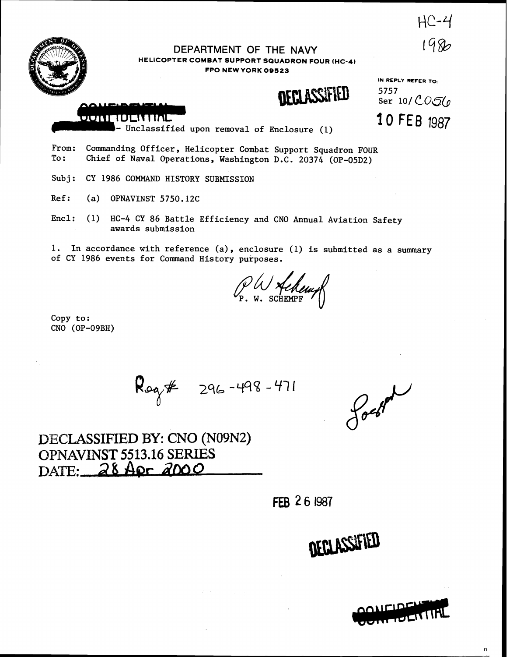$HC-4$ 1986



DEPARTMENT OF THE NAVY **HELICOPTER COMBAT SUPPORT SQUADRON FOUR (HC-4) FPO NEW YORK 09523** 



**IN REPLY REFER TO:**  5757<br>Ser 10/CO5(0 10 FEB 1987



Unclassified upon removal of Enclosure (1)

From: Commanding Officer, Helicopter Combat Support Squadron FOUR<br>To: Chief of Naval Operations, Washington D.C. 20374 (OP-05D2) Chief of Naval Operations, Washington D.C. 20374 (OP-05D2)

Subj: CY 1986 COMMAND HISTORY SUBMISSION

Ref: (a) OPNAVINST 5750.12C

Encl: (1) HC-4 CY 86 Battle Efficiency and CNO Annual Aviation Safety awards submission

1. In accordance with reference (a), enclosure (1) is submitted as a summary of CY 1986 events for Command History purposes.

YO% P. **W.** SCHEMPF

Copy to : CNO (OP-09BH)

 $R_{09}$  \$  $296 - 498 - 471$ 

forted

DECLASSIFIED **BY:** CNO **(N09N2) BPNAVHNST 5513.16 SERUES**  DATE: 28 Apr 2000

FEB 26 1987

DECLASSIFIED



 $\mathbf{u}$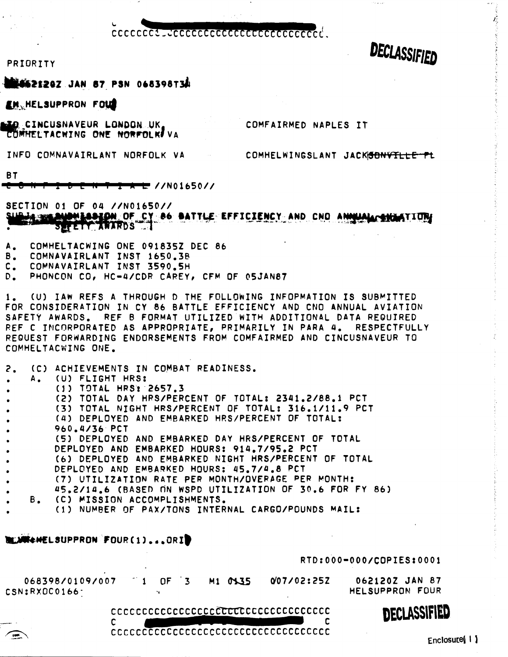ccccccct.uccccccccccccccccccccccccccc

PRIORITY

**MAGS2120Z JAN 87 PSN 068398T34** 

EM HELSUPPRON FOUR

LO CINCUSNAVEUR LONDON UK. COMHELTACWING ONE NORFOLK! VA COMFAIRMED NAPLES IT

INFO COMNAVAIRLANT NORFOLK VA

COMHELWINGSLANT JACKSONVILLE-PL

DECLASSIFIED

BT

<del>\* L</del> //N01650//

SECTION 01 OF 04 //N01650// A WEAVENLASSEDN OF CY 86 BATTLE EFFICIENCY AND CND ANNUAL GRANTION SEFETY AWARDS

- $\mathbf{A}_\bullet$ COMHELTACWING ONE 091835Z DEC 86
- В. COMNAVAIRLANT INST 1650.38
- COMNAVAIRLANT INST 3590.5H  $\mathsf{c}$ .
- D. PHONCON CO, HC-4/CDR CAREY, CFM OF 05JAN87

(U) IAW REFS A THROUGH D THE FOLLOWING INFOPMATION IS SUBMITTED 1. FOR CONSIDERATION IN CY 86 BATTLE EFFICIENCY AND CNO ANNUAL AVIATION SAFETY AWARDS. REF B FORMAT UTILIZED WITH ADDITIONAL DATA REQUIRED REF C INCORPORATED AS APPROPRIATE, PRIMARILY IN PARA 4. RESPECTFULLY REQUEST FORWARDING ENDORSEMENTS FROM COMFAIRMED AND CINCUSNAVEUR TO COMHELTACWING ONE.

| $\mathsf{2.}$                    | (C) ACHIEVEMENTS IN COMBAT READINESS.                   |
|----------------------------------|---------------------------------------------------------|
| $\bullet$                        | A. (U) FLIGHT HRS:                                      |
| $\bullet$                        | $(1)$ TOTAL HRS: 2657.3                                 |
| $\bullet$ and $\bullet$          | (2) TOTAL DAY HRS/PERCENT OF TOTAL: 2341.2/88.1 PCT     |
| $\bullet$                        | (3) TOTAL NIGHT HRS/PERCENT OF TOTAL: 316.1/11.9 PCT    |
| $\bullet$ . The set of $\bullet$ | (4) DEPLOYED AND EMBARKED HRS/PERCENT OF TOTAL:         |
| $\bullet$ .                      | 960.4/36 PCT                                            |
| $\bullet$                        | (5) DEPLOYED AND EMBARKED DAY HRS/PERCENT OF TOTAL      |
| $\bullet$ and $\bullet$          | DEPLOYED AND EMBARKED HOURS: 914.7/95.2 PCT             |
| $\bullet$ .                      | (6) DEPLOYED AND EMBARKED NIGHT HRS/PERCENT OF TOTAL    |
|                                  | DEPLOYED AND EMBARKED HOURS: 45.7/4.8 PCT               |
| $\bullet$                        | (7) UTILIZATION RATE PER MONTH/OVERAGE PER MONTH:       |
| $\bullet$                        | 45.2/14.6 (BASED ON WSPD UTILIZATION OF 30.6 FOR FY 86) |
|                                  | B. (C) MISSION ACCOMPLISHMENTS.                         |
|                                  | A LU JRAHA (RUPPRUJI) A LPAR JRAHINA (1191.)            |

#### (1) NUMBER OF PAX/TONS INTERNAL CARGO/POUNDS MAIL:

### **BELAWSEMELSUPPRON FOUR(1)...ORIP**

C

RTD:000-000/COPIES:0001

068398/0109/007  $OF<sub>3</sub>$ 007/02:252 **M1 0135** 062120Z JAN 87  $\mathbf{1}$ HELSUPPRON FOUR CSN:RXOC0166-

conconconconconcontratoreconconconco



conceded conceded conceded conceded concerts and conceal concerts and conceal concerts and concerts are an anti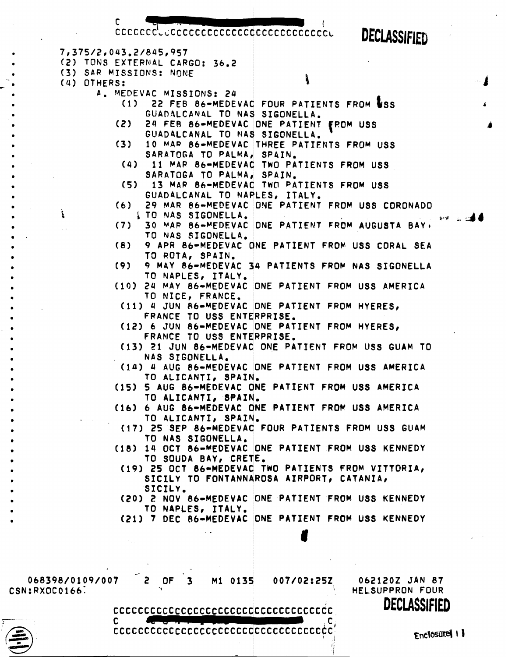**DECLASSIFIED** 

COCCOCCLUCOCCOCCOCCOCCOCCOCCOCCOCCU 7,375/2,043.2/845,957 **(2)** TONS EXTERNAL CARGO: **36.2 (3)** SAR MISSIONS: NONE **(4)** OTHERS: \ **1**  *b,* MEDEVAC MISSIONS: 24 **(1)** 22 FEB 86-MEDEVAC FOUR PATIENTS FROM &SS **i**  GUADALCAW4L TO NAS SIGONELLA. (2) 24 **FER** 86-MEDEVAC ONE PATIENT **fROM** USS **1**  GUAD4LCANAL TO **MAS** SIGONELL4. **(31** 10 **MAR** 86-MEDEVAC THREE PATIFNTS FROM USS SARATOGA TO PALMA, SPAIN. **(4)** 11 P4P 86-MEDEVAC TWO PATIENTS FROM USS SARATOGA TO PALMA, SPAIN. **(5)** 13 MAP 86-MEDEVAC TWO PATIENTS FROM USS GUADALCANAL TO NAPLES, ITALY. **(6) 29** MAR 86-MEDEVAC ONE PATIENT FROP USS CORONADO  $\frac{1}{2}$  TO NAS SIGONELLA. (7) 30 MAP 66-VEDEVAC ONE PATIENT FROM AUGUSTA BAY + **TO NAS** SIGONELLA. (8) 9 APR 86-MEDEVAC ONE PATIENT FROM USS CORAL SEA TO ROTA, SP4IN. **(9)** 9 MAY 86-MEDEVAC 34 PATIENTS FROM NAS SIGONELLA TO NAPLES, ITALY. (10) 24 **VAY** 86-MEDEVAC ONE PATIENT **FROM** USS AMERICA TO NICE, FRANCE. **(11)** 4 **JUN** R6-UEDEVAC ONE PATIENT FROM HYERES, FRANCE TO USS ENTERPRISE, (12) 6 JUN 86-MEDEVAC ONE PATIENT FROM HYERES, FRANCE TO **US3** ENTERPRISE. **(13)** 21 JUN 86-MEDEVAC ONE PATIENT FROM USS GUAM TO NAS SIGONELLA, **(14)** 4 AUG 86-MEDEVAC ONE PATIENT FROM USS AMERICA TO ALICANTI, SPAIN. **(15)** 5 AUG 86-MEDEVAC ONE PATIENT FROM **USS** AMERICA TO ALICANTI, SPAIN. **(161** 6 AUG 86-MEDEVAC ONE PATIENT **FROP** US3 AMERICA TO ALICANTI, SPAIN. (17) 25 **3EP** 86-MEDEVAC FOUR PATIENTS FROM USS GUAM **TO NAS** SIGONELLA, **(18) la** OCT 86-MEDEVAC ONE PATIENT FROM **USS** KENNEDY TO SOUDA BAY, CRETE. (19) 25 OCT 86-MEDEVAC **TWO** PATIENTS FROM VITTORfAt SICILY TO FONTANNAROSA AIRPORT, CATANIA, SICILY. (20) 2 NOV 86-MEOEVAC ONE PATIENT FROM USS KENNEDY TO NAPLES, ITALY. **(21)** 7 DEC bb-MEDEVAC ONE PATIENT **FROV US3** KENNEDY *8* 

C

CSN:RXOCOI~~: **I** HELSUPPRON FOUR

C

-- 068398/0109/007 Z OF 3 **M1** 0135 007/02:25Z 0621202 JAN 87 DECLASSIFIED

ccccccccccccccccccccccccccccccccccc



ccccccccccccccccccccccccccccccccccc

**Enclosured 11**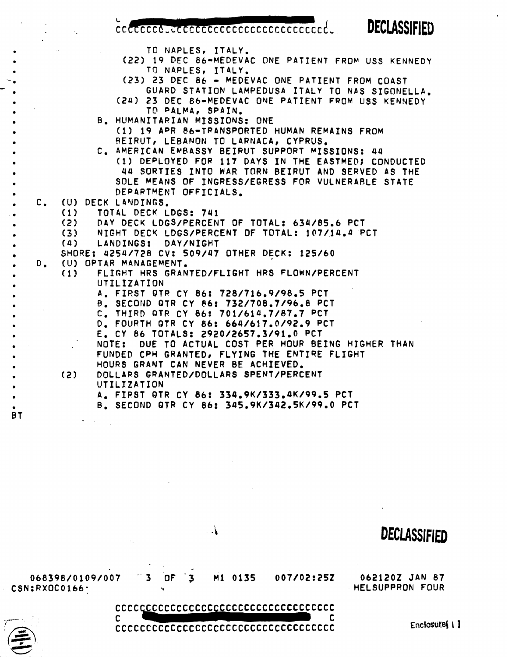cocococo...cococococococococococococo.

**DECLASSIFIED** 

TO NAPLES, ITALY.

- **(22)** 19 **DEC** 86-MEDEVAC ONE PATIENT **FROM** USS KENNEDY TO NAPLES, IT4LY.
- -- **(23)** 23 DEC **86**  MEDEVAC ONE PATIENT FROM COAST GUARD STATION LAMPEDUSA ITALY TO NAS SIGONELLA.
- **(2U)** 23 DEC 86-HEDEVAC ONE PATIENT FROM **UQS** KENNEDY TD **PALVE,** SPAIN,
- **8,** HUMANITARIAN MISSIONS: ONE (1) 19 APR 86-TRANSPORTED HUMAN REMAINS FROM **BEIRUT, LEBANON TO LARNACA, CYPRUS.**
- C. AMERICAN EMBASSY BEIRUT SUPPORT MISSIONS: 44 • (1) DEPLOYED FOR 117 DAYS IN THE EASTMEDI CONDUCTED • 44 SORTIES INTO WAR TORN BEIRUT AND SERVED **AS** THE . SOLE MEANS OF INGRESS/EGRESS FOR VULNERABLE STATE DEPARTMENT OFFICIALS. SOLE MEANS OF INGRESS/EGRESS FOR VULNERABLE STATE<br>DEPARTMENT OFFICIALS.<br>(1) TOTAL DECK LDGS: 741
	- - **(1)** TOT4L DECK LDGS: 741
		- **(2)** DAY DECK LOGS/PERcENT OF TOTAL: 634/85.6 PCT
		- **(31** NIGHT DECY LDGS/PERCENT OF TOTAL: 107/14.4 PCT
		- **(4)** LANDINGS: DAY/NIGHT

• SHORE: 4254/728 CV: 509/47 OTHER DECK: 125/60 . D. **(U)** OPTRR MANAGEMENT.

BT

- (1) FLIGHT HRS GRANTED/FLICHT HRS FLOwN/PERCENT UTILIZATION
	- **A,** FIRST OTF CY 86: 728/716.9/98\*5 PCT
	- **8,** SECOND QTR CY **86:** 732/708.7/96.8 PCT
	- **C,** THIRD **QTR** CY **86:** 701/614,7/87,7 **PCT**
	-
- D, FOURTH QTR CY **86:** 664/617.@/92.9 PCT . **E.** CY 86 TOTALS: 2920/2657.3/91.0 PCT
- NOTE: DUE TO ACTUAL COST PER HOUR BEING HIGHER THAN **FUNDED CPH GRANTED, FLYING THE ENTIRE FLIGHT**<br>HOURS GRANT CAN NEVER BE ACHIEVED.
	-
	- **(2)** DOLLARS GRANTED/DOLLARS SPENT/PERCENT UTILIZATION
		- A. FIRST QTR CY 86: 334.9K/333.4K/99.5 PCT
		- **8,** SECOND QTR CY 86: 345.9K/342.5K/99.0 PCT



 $\mathbf{A}$ 

Enclosure(1)

**DECLASSIFIED**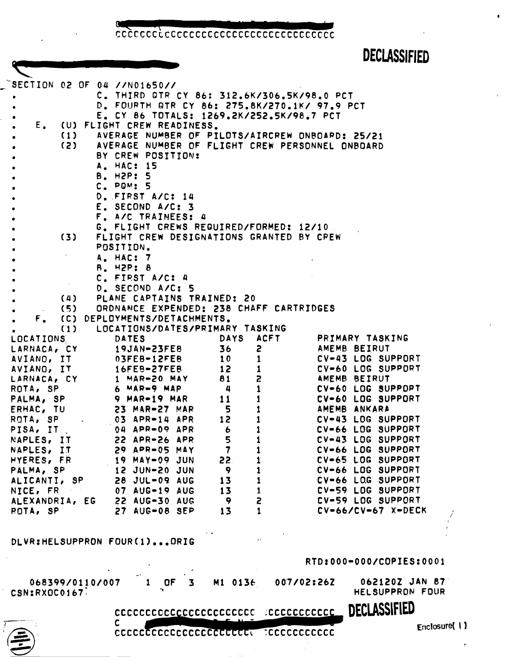cececececececececececececececececece

# **DECLASSIFIED**

 $\bullet$ 

| $\sim$ SECTION 02 OF 04 //N01650// |                                                       |                                  |                         |
|------------------------------------|-------------------------------------------------------|----------------------------------|-------------------------|
| ٠                                  | C. THIRD GTR CY 86: 312.6K/306.5K/98.0 PCT            |                                  |                         |
| ٠                                  | D. FOURTH QTR CY 86: 275.8K/270.1K/ 97.9 PCT          |                                  |                         |
| ۰                                  | E. CY 86 TOTALS: 1269.2K/252.5K/98.7 PCT              |                                  |                         |
|                                    | E. (U) FLIGHT CREW READINESS.                         |                                  |                         |
| $\bullet$                          | (1) AVERAGE NUMBER OF PILOTS/AIRCREW ONBOARD: 25/21   |                                  |                         |
|                                    | (2) AVERAGE NUMBER OF FLIGHT CREW PERSONNEL ONBOARD   |                                  |                         |
|                                    | BY CREW POSITION:                                     |                                  |                         |
|                                    | A. HAC: 15                                            |                                  |                         |
|                                    | B. H2P: 5                                             |                                  |                         |
|                                    |                                                       |                                  |                         |
|                                    | $Cn$ PQM: 5                                           |                                  |                         |
|                                    | D. FIRST A/C: 14                                      |                                  |                         |
|                                    | E. SECOND A/C: 3                                      |                                  |                         |
|                                    | F. A/C TRAINEES: 4                                    |                                  |                         |
|                                    | G. FLIGHT CREWS REQUIRED/FORMED: 12/10                |                                  |                         |
|                                    | (3) FLIGHT CREW DESIGNATIONS GRANTED BY CPEW          |                                  |                         |
|                                    | POSITION.                                             |                                  |                         |
|                                    | A. HAC: 7                                             |                                  |                         |
|                                    | B. H2P: 8                                             |                                  |                         |
|                                    | C. FIRST A/C: 4                                       |                                  |                         |
|                                    | D. SECOND A/C: 5                                      |                                  |                         |
|                                    | (4) PLANE CAPTAINS TRAINED: 20                        |                                  |                         |
|                                    |                                                       |                                  |                         |
|                                    | (5) ORDNANCE EXPENDED: 238 CHAFF CARTRIDGES           |                                  |                         |
|                                    | F. (C) DEPLOYMENTS/DETACHMENTS.                       |                                  |                         |
|                                    | (1) LOCATIONS/DATES/PRIMARY TASKING                   |                                  |                         |
| LOCATIONS <b>SECTIONS</b>          | <b>DATES</b>                                          | <b>DAYS ACFT PRIMARY TASKING</b> |                         |
|                                    | LARNACA, CY 19JAN-23FEB 36 2                          |                                  | AMEMB BEIRUT            |
|                                    | AVIANO, IT 03FEB-12FEB 10                             | $\mathbf{1}$                     | CV-43 LOG SUPPORT       |
|                                    | AVIANG, IT 16FEB-27FEB 12                             | $\mathbf{1}$                     | CV-60 LOG SUPPORT       |
|                                    | LARNACA, CY 1 MAR-20 MAY 81<br>ROTA, SP 6 MAR-9 MAP 4 | $\mathbf{z}$                     | AMEMB BEIRUT            |
|                                    |                                                       | $1 \qquad \qquad$                | CV-60 LOG SUPPOPT       |
|                                    | PALMA, SP 9 MAR-19 MAR                                | $\mathbf{1}$<br>11               | CV-60 LOG SUPPORT       |
|                                    | ERHAC, TU 23 MAR-27 MAR 5                             |                                  | AMEMB ANKARA            |
|                                    | ROTA, SP 03 APR-14 APR 12                             |                                  | CV-43 LOG SUPPORT       |
| PISA, IT 04 APR-09 APR             |                                                       | $\overline{6}$                   | CV-66 LOG SUPPORT       |
| NAPLES, IT 22 APR-26 APR           |                                                       | 5<br>$\mathbf{1}$                | CV-43 LOG SUPPORT       |
| NAPLES, IT                         | 29 APR-05 MAY                                         | $\overline{\mathbf{7}}$          | CV-66 LOG SUPPORT       |
|                                    | 19 MAY-09 JUN                                         |                                  | CV-65 LOG SUPPORT       |
| HYERES, FR                         |                                                       | 22.                              |                         |
| PALMA, SP                          | 12 JUN-20 JUN                                         | 9                                | CV-66 LOG SUPPORT       |
| ALICANTI, SP                       | 28 JUL-09 AUG                                         | 13                               | CV-66 LOG SUPPORT       |
| NICE, FR                           | 07 AUG-19 AUG                                         | 13                               | CV-59 LOG SUPPORT       |
| ALEXANDRIA, EG                     | 22 AUG-30 AUG                                         | 2<br>9                           | CV-59 LOG SUPPORT       |
| ROTA, SP                           | 27 AUG-08 SEP                                         | 13<br>$\mathbf{1}$               | $CV-66/CV-67$ X-DECK    |
|                                    |                                                       |                                  |                         |
|                                    |                                                       | ăi.                              |                         |
| DLVR:HELSUPPRON FOUR(1)ORIG        |                                                       |                                  |                         |
|                                    |                                                       |                                  | RTD:000-000/COPIES:0001 |
|                                    |                                                       |                                  |                         |
| 068399/0110/007                    | <b>OF</b><br>3                                        | 007/02:262<br>M1 0136            | 062120Z JAN 87          |
| CSN:RXOC0167.                      |                                                       |                                  | HELSUPPRON FOUR         |
|                                    | coopcoopcoopcoopcoopc acopcoopcoop                    |                                  | DECLASSIFIED            |
|                                    | C.                                                    |                                  |                         |
|                                    |                                                       | ECCCCCCCCCC                      | Enclosure( 1)           |
|                                    |                                                       |                                  |                         |
|                                    |                                                       |                                  |                         |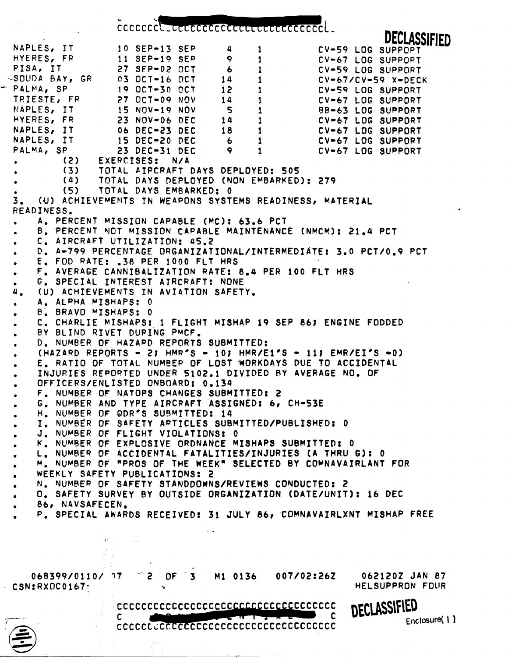**b C** 

CCCCCCCL, **CCL** CC NAPLES, IT **10** SEP-13 SEP **4** 1 **DECLASSIFIED**  CV-59 LOG SUPPOPT HYERES, FR 11 SEP-19 SEP 9 1 CV-67 LOG SUPPOPT PISAt IT 27 SFP-02 OCT 6 1 CV-59 LOG SUPPORT PISA, IT<br>
-SOUDA BAY, GR
(3) OCT-16 OCT
(4) 1<br>
- PALMA, SP
(3) OCT-16 OCT
(14) 1<br>
TRIESTE, FR
(27) OCT-30 OCT
(12) 1<br>
TRIESTE, FR
(27) OCT-09 NOV
(14) 1<br>
NAPLES, IT
(15) NOV-19 NOV
(5) 1<br>
HYERES, FR
(23) NOV-06 DEC
(14) 1<br> **-SDUDP** RAY, **GR 03** OCT-16 OCT 14 1 CV-67/CV-59 %-DECK TRIESTE, FR 27 OCT-09 NOV<br>
NAPLES, IT 15 NOV-19 NOV NAPLES, IT 15 NOV-19 NOV **5 1 5 BB-63 LOG SUPPORT**<br>HYERES, FR 23 NOV-06 DEC 14 1 CV-67 LOG SUPPORT HYERES? **FR 23** NOV-06 DEC 14 **f** CV-67 LOG SUPPORT NAPLES, IT 06 DEC-23 DEC 18 1 CV-67 LOG SUPPORT NAPLES, IT 15 DEC-20 DEC 6 1 CV-67 LOG SUPPORT 1 **CV-67 LOG SUPPORT (2)** EXERCISES: N/A (3) TOTAL AIPCRAFT DAYS DEPLOYED: 505<br>(4) TOTAL DAYS DEPLOYED (NON EMBARKED) • **(a)** TOTAL DAYS DEPLOYED **(NON** EMBARKED): 279 **(51** TOTAL DAYS EMB4RKED: 0 3. **(U)** ACHIEVEMENTS IN WEAPONS SYSTEMS READINESS, MATERIAL READINESS. . A. PERCENT MISSION CAPABLE (MC): 63.6 PCT . **0.** PERCENT VOT MISSION CAPABLE MAINTENANCE (NMCYI: 21.4 PCT . **0.** A-799 PERCENTAGE **ORGANIZATIONAL/INTERMEDI~TE:** 3.0 PCTI0.9 PCT . C. AIRCRAFT UTILIZATION: 45.2 . **E.** FOD RATE: **.3R** PER 1000 FLT HRS F. AVERAGE CANNIB4LIZATION RATE: 8.4 PER 100 FLT HRS **C,** SPECIIL INTEREST AIRCRAFT: NONE 4. (U) ACHIEVEMENTS IN AVIATION SAFETY. . A. ALPHA MISHAPS: **<sup>0</sup>** . **6, BRAVO** MISHAPS: **<sup>0</sup>** . C. CHARLIE MISHAPS: 1 FLIGHT MISHAP 19 SEP 86; ENGINE FODDED . BY BLIND RIVET DUPING PMCF, . **0.** NUMBER OF HAZAPD REPORTS SUBMITTED: (HAZARD REPORTS - Zt **HMR\*S** - 105 HMR/El\*S - 11; EMR/EIPS -0) . E. RATIO OF TOTAL NUMBER OF LOST WORKDAYS DUE TO ACCIDENT<br>. INJURIES REPORTED UNDER 5102.1 DIVIDED BY AVERAGE NO. OF . **Em** RATIO OF TOTAL **NUMBEP** OF LOST WORKDAYS DUE TO ACCIDENTAL . INJURIES REPORTED UNDER 5102.1 D<br>OFFICERS/ENLISTED ONBOARD: 0.134 . **F,** NUYBER OF NATOPS CHANGES SUBMITTED: **<sup>2</sup>** . F. NUMBER OF NATOPS CHANGES SUBMITTED: 2<br>6. NUMBER AND TYPE AIRCRAFT ASSIGNED: 6, CH-53E . G. NUMBER AND TYPE AIRCRAFT ASSIGNATION.<br>H. NUMBER OF ODR'S SUBMITTED: 14 H. NUMBER OF ODR'S SUBMITTED: 14<br>I. NUMBER OF SAFETY ARTICLES SUBMITTED/PUBLISHED: 0 . J. NUMBER OF FLIGHT VIOLATIONSI 0 . **F.** NUMBER OF EXPLOSIVE ORDNANCE MISHAPS SUBMITTED: 0 . N. NUMBER OF EXPLOSITY ONDINANCE MIGHALS COOMITIEN: 0<br>. M. NUMBER OF "PROS OF THE WEEK" SELECTED BY COMNAVAIRLANT FOR . L. NUMBER OF 4CCIOENT4L FATALITIES/INJURIES **(A** THRU **GI:** <sup>0</sup> W. NUMBER OF "PROS OF THE WEEK" SELECTED BY COMNAVAIRLANT FOR WEEKLY SAFETY PUBLICATIONS: 2<br>WEEKLY SAFETY PUBLICATIONS: 2<br>D. SAFETY SURVEY BY OUTSIDE ORGANIZATION (DATE/UNIT): 16 DEC N. NUMBER OF SAFETY STANDDOWNS/REVIEWS CONDUCTED: 2<br>O. SAFETY SURVEY BY OUTSIDE ORGANIZATION (DATE/UNIT): 16 DEC<br>86, NAVSAFECEN. **P.** SPECIAL AWARDS RECEIVED? 31 JULY **86,** COMNAVAIRLXNT MISHAP FREE 068399/0110/ 37 -' 2 OF ' 3 **M1** 0136 007/02:262 O6ZlZOZ JAN 87 CSN:RXOC0167- **8** HELSUPPRON FOUR DECLASSIFIED  $\overline{\mathbf{c}}$  $\mathbf{C}$ Enclosure(1)

ccccccccccccccccccccccccccccccccccccc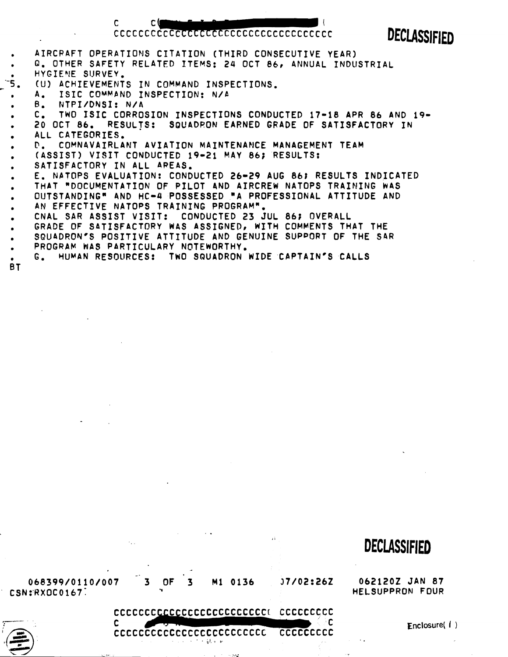#### cocococococococococococococococococo

 $\overline{\phantom{a}}$ 

 $\mathbf c$ 

 $C($ 

DECLASSIFIED

|           | AIRCRAFT OPERATIONS CITATION (THIRD CONSECUTIVE YEAR)            |
|-----------|------------------------------------------------------------------|
|           | Q. OTHER SAFETY RELATED ITEMS: 24 OCT 86, ANNUAL INDUSTRIAL      |
| $\bullet$ | HYGIENE SURVEY.                                                  |
| ΄ Σ.      | (U) ACHIEVEMENTS IN COMMAND INSPECTIONS.                         |
| $\bullet$ | A. ISIC COMMAND INSPECTION: N/A                                  |
|           | B. NTPI/DNSI: N/A                                                |
|           | C. TWO ISIC CORROSION INSPECTIONS CONDUCTED 17-18 APR 86 AND 19- |
| $\bullet$ | 20 OCT 86. RESULTS: SQUADRON EARNED GRADE OF SATISFACTORY IN     |
|           | ALL CATEGORIES.                                                  |
|           | D. COMNAVAIRLANT AVIATION MAINTENANCE MANAGEMENT TEAM            |
| $\bullet$ | (ASSIST) VISIT CONDUCTED 19-21 MAY 86; RESULTS:                  |
| $\bullet$ | SATISFACTORY IN ALL AREAS.                                       |
| $\bullet$ | E. NATOPS EVALUATION: CONDUCTED 26-29 AUG 86; RESULTS INDICATED  |
|           | THAT "DOCUMENTATION OF PILOT AND AIRCREW NATOPS TRAINING WAS     |
|           | OUTSTANDING" AND HC-4 POSSESSED "A PROFESSIONAL ATTITUDE AND     |
|           | AN EFFECTIVE NATOPS TRAINING PROGRAM".                           |
| $\bullet$ | CNAL SAR ASSIST VISIT: CONDUCTED 23 JUL 86; OVERALL              |
|           | GRADE OF SATISFACTORY WAS ASSIGNED, WITH COMMENTS THAT THE       |
|           | SQUADRON'S POSITIVE ATTITUDE AND GENUINE SUPPORT OF THE SAR      |
|           | PROGRAM WAS PARTICULARY NOTEWORTHY.                              |
|           | G. HUMAN RESOURCES: TWO SQUADRON WIDE CAPTAIN'S CALLS            |

BT

## **DECLASSIFIED**

CSN:RXOC0167:

 $\sim$  .

 $\mathbf c$ 

 $\frac{1}{2}$ C

 $\ddot{\phi}$  .

 $\mathbf{H}$ 

CCCCCCCCCCCCCCCCCCCCCCCCC CCCCCCCCC **I' 9 it** 

**068399/0110/007 3 OF 3 Mi 0136 37/02:26Z 0621202** JAN **87** 



**Enclosure( <sup>I</sup>**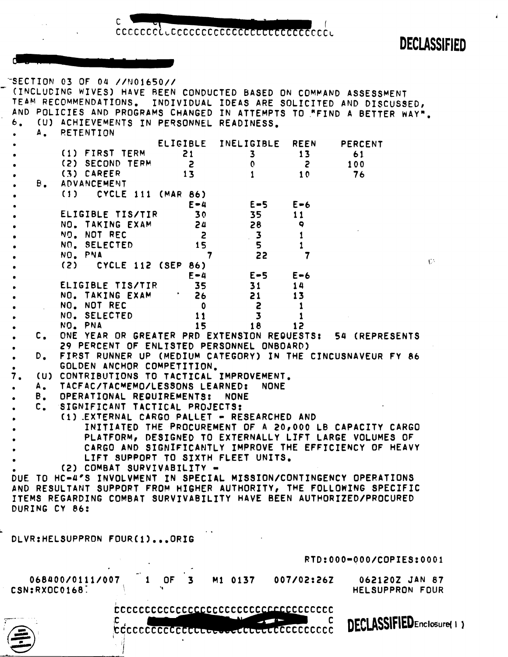DECLASSIFIED

Å

| 6.<br>٠ | $\mathbf{A}_{\bullet}$ | <b>RETENTION</b> |                             |                  | $\sim$ SECTION 03 OF 04 //N01650// |                               |                                    | (U) ACHIEVEMENTS IN PERSONNEL READINESS.   |                                            | (INCLUDING WIVES) HAVE BEEN CONDUCTED BASED ON COMMAND ASSESSMENT<br>TEAM RECOMMENDATIONS. INDIVIDUAL IDEAS ARE SOLICITED AND DISCUSSED,<br>AND POLICIES AND PROGRAMS CHANGED IN ATTEMPTS TO "FIND A BETTER WAY". |       |
|---------|------------------------|------------------|-----------------------------|------------------|------------------------------------|-------------------------------|------------------------------------|--------------------------------------------|--------------------------------------------|-------------------------------------------------------------------------------------------------------------------------------------------------------------------------------------------------------------------|-------|
|         |                        |                  |                             |                  |                                    |                               |                                    | ELIGIBLE INELIGIBLE                        |                                            | REEN PERCENT                                                                                                                                                                                                      |       |
|         |                        |                  |                             | (1) FIRST TERM   |                                    | 21                            |                                    | $\overline{\mathbf{3}}$                    | 13 <sub>1</sub>                            | 61                                                                                                                                                                                                                |       |
|         |                        |                  |                             | (2) SECOND TERM  |                                    | $\overline{z}$                |                                    | $\mathbf{0}$                               | $\overline{c}$                             | 100                                                                                                                                                                                                               |       |
| ٠       |                        |                  | (3) CAREER                  |                  |                                    | 13                            |                                    |                                            | 10 <sub>1</sub>                            | 76                                                                                                                                                                                                                |       |
|         |                        |                  | B. ADVANCEMENT              |                  |                                    |                               |                                    |                                            |                                            |                                                                                                                                                                                                                   |       |
|         |                        |                  |                             |                  | $(1)$ CYCLE 111 (MAR 86)           |                               |                                    |                                            |                                            |                                                                                                                                                                                                                   |       |
|         |                        |                  |                             |                  |                                    | $E - 4$                       |                                    | $E = 5$ $E = 6$                            |                                            |                                                                                                                                                                                                                   |       |
|         |                        |                  |                             | ELIGIBLE TIS/TIR |                                    | 30                            |                                    | 35                                         | 11                                         |                                                                                                                                                                                                                   |       |
|         |                        |                  |                             | NO. TAKING EXAM  |                                    | 24                            |                                    | 28                                         | 9                                          |                                                                                                                                                                                                                   |       |
|         |                        |                  | NO. NOT REC<br>NO. SELECTED |                  |                                    | $\overline{\mathbf{z}}$<br>15 |                                    | 3 <sup>2</sup><br>5                        | 1                                          |                                                                                                                                                                                                                   |       |
|         |                        | NO. PNA          |                             |                  |                                    | $\overline{7}$                |                                    | 22                                         | 7                                          |                                                                                                                                                                                                                   |       |
|         |                        |                  |                             |                  | (2) CYCLE 112 (SEP 86)             |                               |                                    |                                            |                                            |                                                                                                                                                                                                                   | $C^*$ |
|         |                        |                  |                             |                  |                                    | $E - 4$                       |                                    | $E = 5$                                    | $E - 6$                                    |                                                                                                                                                                                                                   |       |
|         |                        |                  |                             | ELIGIBLE TIS/TIR |                                    | 35                            |                                    | 31                                         | 14                                         |                                                                                                                                                                                                                   |       |
|         |                        |                  |                             | NO. TAKING EXAM  |                                    | 26                            |                                    | 21                                         | 13                                         |                                                                                                                                                                                                                   |       |
|         |                        |                  | NO. NOT REC                 |                  |                                    | $\mathbf 0$                   |                                    | $\overline{c}$                             | 1                                          |                                                                                                                                                                                                                   |       |
|         |                        |                  | NO. SELECTED                |                  |                                    | 11                            |                                    | $\overline{\mathbf{3}}$                    | 1                                          |                                                                                                                                                                                                                   |       |
|         |                        |                  | NO. PNA                     |                  |                                    | 15                            |                                    | 18                                         | 12 <sup>2</sup>                            |                                                                                                                                                                                                                   |       |
|         | $\mathsf{c}$ .         |                  |                             |                  |                                    |                               |                                    |                                            |                                            | ONE YEAR OR GREATER PRD EXTENSION REQUESTS: 54 (REPRESENTS                                                                                                                                                        |       |
|         | $D_{\bullet}$          |                  |                             |                  |                                    |                               |                                    | 29 PERCENT OF ENLISTED PERSONNEL ONBOARD)  |                                            | FIRST RUNNER UP (MEDIUM CATEGORY) IN THE CINCUSNAVEUR FY 86                                                                                                                                                       |       |
|         |                        |                  |                             |                  |                                    | GOLDEN ANCHOR COMPETITION.    |                                    |                                            |                                            |                                                                                                                                                                                                                   |       |
| 7.      |                        |                  |                             |                  |                                    |                               |                                    | (U) CONTRIBUTIONS TO TACTICAL IMPROVEMENT. |                                            |                                                                                                                                                                                                                   |       |
|         |                        |                  |                             |                  |                                    |                               | A. TACFAC/TACMEMO/LESSONS LEARNED: | <b>NONE</b>                                |                                            |                                                                                                                                                                                                                   |       |
|         |                        |                  |                             |                  |                                    | B. OPERATIONAL REQUIREMENTS:  | <b>NONE</b>                        |                                            |                                            |                                                                                                                                                                                                                   |       |
|         |                        |                  |                             |                  |                                    |                               | C. SIGNIFICANT TACTICAL PROJECTS:  |                                            |                                            |                                                                                                                                                                                                                   |       |
|         |                        |                  |                             |                  |                                    |                               |                                    |                                            | (1) EXTERNAL CARGO PALLET - RESEARCHED AND |                                                                                                                                                                                                                   |       |
|         |                        |                  |                             |                  |                                    |                               |                                    |                                            |                                            | INITIATED THE PROCUREMENT OF A 20,000 LB CAPACITY CARGO                                                                                                                                                           |       |
|         |                        |                  |                             |                  |                                    |                               |                                    |                                            |                                            | PLATFORM, DESIGNED TO EXTERNALLY LIFT LARGE VOLUMES OF                                                                                                                                                            |       |
|         |                        |                  |                             |                  |                                    |                               |                                    |                                            |                                            | CARGO AND SIGNIFICANTLY IMPROVE THE EFFICIENCY OF HEAVY                                                                                                                                                           |       |
|         |                        |                  |                             |                  |                                    | (2) COMBAT SURVIVABILITY -    |                                    | LIFT SUPPORT TO SIXTH FLEET UNITS.         |                                            |                                                                                                                                                                                                                   |       |
|         |                        |                  |                             |                  |                                    |                               |                                    |                                            |                                            | DUE TO HC-4'S INVOLVMENT IN SPECIAL MISSION/CONTINGENCY OPERATIONS                                                                                                                                                |       |
|         |                        |                  |                             |                  |                                    |                               |                                    |                                            |                                            | AND RESULTANT SUPPORT FROM HIGHER AUTHORITY, THE FOLLOWING SPECIFIC                                                                                                                                               |       |
|         |                        |                  |                             |                  |                                    |                               |                                    |                                            |                                            | ITEMS REGARDING COMBAT SURVIVABILITY HAVE BEEN AUTHORIZED/PROCURED                                                                                                                                                |       |
|         | DURING CY 86:          |                  |                             |                  |                                    |                               |                                    |                                            |                                            |                                                                                                                                                                                                                   |       |
|         |                        |                  |                             |                  |                                    |                               |                                    |                                            |                                            |                                                                                                                                                                                                                   |       |
|         |                        |                  |                             |                  |                                    |                               |                                    |                                            |                                            |                                                                                                                                                                                                                   |       |
|         |                        |                  |                             |                  | DLVR:HELSUPPRON FOUR(1)ORIG        |                               |                                    |                                            |                                            |                                                                                                                                                                                                                   |       |
|         |                        |                  |                             |                  |                                    |                               |                                    |                                            |                                            |                                                                                                                                                                                                                   |       |
|         |                        |                  |                             |                  |                                    |                               |                                    |                                            |                                            | RTD:000-000/COPIES:0001                                                                                                                                                                                           |       |
|         | 068400/0111/007        |                  |                             |                  | 0F                                 |                               | M1 0137                            |                                            | 007/02:262                                 | 062120Z JAN 87                                                                                                                                                                                                    |       |
|         | CSN:RXOC0168.          |                  |                             |                  |                                    |                               |                                    |                                            |                                            | HELSUPPRON FOUR                                                                                                                                                                                                   |       |
|         |                        |                  |                             |                  |                                    |                               |                                    |                                            |                                            |                                                                                                                                                                                                                   |       |
|         |                        |                  |                             |                  |                                    |                               |                                    |                                            | ECCCCCCCCCCCCCCCCCCCCCCCCCCCCCCCCCCC       |                                                                                                                                                                                                                   |       |
|         |                        |                  |                             |                  |                                    |                               |                                    |                                            | C                                          | DECLASSIFIEDEnclosure(1)                                                                                                                                                                                          |       |
|         |                        |                  |                             |                  |                                    |                               |                                    |                                            |                                            |                                                                                                                                                                                                                   |       |
|         |                        |                  |                             |                  |                                    |                               |                                    |                                            |                                            |                                                                                                                                                                                                                   |       |
|         |                        |                  |                             |                  |                                    |                               |                                    |                                            |                                            |                                                                                                                                                                                                                   |       |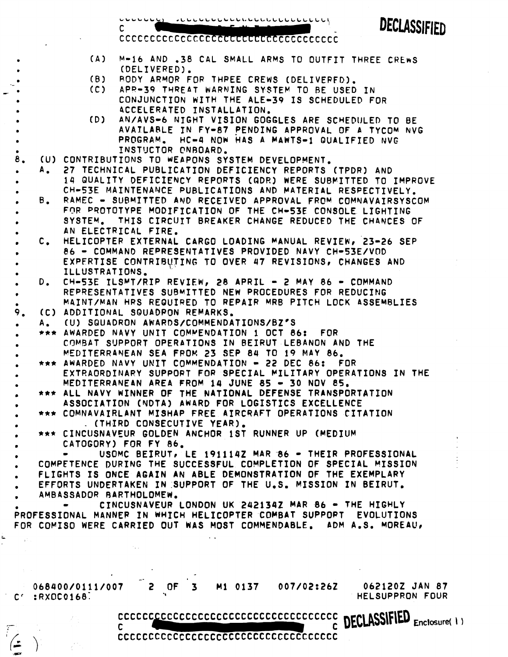$\frac{1}{2}$ 

DECLASSIFIED

 $\mathbf{1}$ 

. **(A) M-16** AND **.38** CAL SMALL ARMS TO OUTFIT THREE **CPEwS** 

| $\bullet$ |    | (A)                      |                                           |                           |         |                                                      | M-16 AND .38 CAL SMALL ARMS TO OUTFIT THREE CREWS                                                                                       |                                |
|-----------|----|--------------------------|-------------------------------------------|---------------------------|---------|------------------------------------------------------|-----------------------------------------------------------------------------------------------------------------------------------------|--------------------------------|
| $\bullet$ |    |                          |                                           | (DELIVERED).              |         |                                                      |                                                                                                                                         |                                |
|           |    | (B)                      |                                           |                           |         | BODY ARMOR FOR THREE CREWS (DELIVERED).              |                                                                                                                                         |                                |
|           |    | (C)                      |                                           |                           |         | APR-39 THREAT WARNING SYSTEM TO BE USED IN           |                                                                                                                                         |                                |
|           |    |                          |                                           |                           |         |                                                      | CONJUNCTION WITH THE ALE-39 IS SCHEDULED FOR                                                                                            |                                |
|           |    |                          |                                           | ACCELERATED INSTALLATION. |         |                                                      |                                                                                                                                         |                                |
|           |    | (D)                      |                                           |                           |         |                                                      | AN/AVS-6 NIGHT VISION GOGGLES ARE SCHEDULED TO BE                                                                                       |                                |
|           |    |                          |                                           |                           |         |                                                      | AVAILABLE IN FY-87 PENDING APPROVAL OF A TYCOM NVG                                                                                      |                                |
|           |    |                          |                                           |                           |         |                                                      | PROGRAM. HC-4 NOW HAS A MAWTS-1 QUALIFIED NVG                                                                                           |                                |
|           |    |                          |                                           | INSTUCTOR CNBOARD.        |         |                                                      |                                                                                                                                         |                                |
| 8.        |    |                          |                                           |                           |         | (U) CONTRIBUTIONS TO WEAPONS SYSTEM DEVELOPMENT.     |                                                                                                                                         |                                |
|           |    |                          |                                           |                           |         |                                                      | A. 27 TECHNICAL PUBLICATION DEFICIENCY REPORTS (TPDR) AND                                                                               |                                |
|           |    |                          |                                           |                           |         |                                                      | 14 QUALITY DEFICIENCY REPORTS (QDR) WERE SUBMITTED TO IMPROVE                                                                           |                                |
|           |    |                          |                                           |                           |         |                                                      | CH-53E MAINTENANCE PUBLICATIONS AND MATERIAL RESPECTIVELY.                                                                              |                                |
| $\bullet$ | Β. |                          |                                           |                           |         |                                                      | RAMEC - SUBMITTED AND RECEIVED APPROVAL FROM COMNAVAIRSYSCOM                                                                            |                                |
|           |    |                          |                                           |                           |         |                                                      | FOR PROTOTYPE MODIFICATION OF THE CH-53E CONSOLE LIGHTING                                                                               |                                |
|           |    |                          |                                           |                           |         |                                                      | SYSTEM. THIS CIRCUIT BREAKER CHANGE REDUCED THE CHANCES OF                                                                              |                                |
|           |    |                          | AN ELECTRICAL FIRE.                       |                           |         |                                                      |                                                                                                                                         |                                |
|           |    |                          |                                           |                           |         |                                                      | C. HELICOPTER EXTERNAL CARGO LOADING MANUAL REVIEW, 23-26 SEP<br>86 - COMMAND REPRESENTATIVES PROVIDED NAVY CH-53E/VOD                  |                                |
|           |    |                          |                                           |                           |         |                                                      |                                                                                                                                         |                                |
| ٠         |    |                          | ILLUSTRATIONS.                            |                           |         |                                                      | EXPERTISE CONTRIBUTING TO OVER 47 REVISIONS, CHANGES AND                                                                                |                                |
| $\bullet$ |    |                          |                                           |                           |         |                                                      | D. CH-53E ILSMT/RIP REVIEW, 28 APRIL - 2 MAY 86 - COMMAND                                                                               |                                |
| $\bullet$ |    |                          |                                           |                           |         |                                                      | REPRESENTATIVES SUBMITTED NEW PROCEDURES FOR REDUCING                                                                                   |                                |
| $\bullet$ |    |                          |                                           |                           |         |                                                      | MAINT/MAN HRS REQUIRED TO REPAIR MRB PITCH LOCK ASSEMBLIES                                                                              |                                |
| 9.        |    |                          | (C) ADDITIONAL SQUADPON REMARKS.          |                           |         |                                                      |                                                                                                                                         |                                |
| $\bullet$ |    |                          | A. (U) SQUADRON AWARDS/COMMENDATIONS/BZ'S |                           |         |                                                      |                                                                                                                                         |                                |
|           |    |                          |                                           |                           |         | *** AWARDED NAVY UNIT COMMENDATION 1 OCT 86: FOR     |                                                                                                                                         |                                |
|           |    |                          |                                           |                           |         | COMBAT SUPPORT OPERATIONS IN BEIRUT LEBANON AND THE  |                                                                                                                                         |                                |
|           |    |                          |                                           |                           |         | MEDITERRANEAN SEA FROM 23 SEP 84 TO 19 MAY 86.       |                                                                                                                                         |                                |
|           |    |                          |                                           |                           |         | *** AWARDED NAVY UNIT COMMENDATION - 22 DEC 86: FOR  |                                                                                                                                         |                                |
|           |    |                          |                                           |                           |         |                                                      | EXTRAORDINARY SUPPORT FOR SPECIAL MILITARY OPERATIONS IN THE                                                                            |                                |
|           |    |                          |                                           |                           |         | MEDITERRANEAN AREA FROM 14 JUNE 85 - 30 NOV 85.      |                                                                                                                                         |                                |
|           |    |                          |                                           |                           |         |                                                      | *** ALL NAVY WINNER OF THE NATIONAL DEFENSE TRANSPORTATION                                                                              |                                |
|           |    |                          |                                           |                           |         | ASSOCIATION (NDTA) AWARD FOR LOGISTICS EXCELLENCE    |                                                                                                                                         |                                |
|           |    |                          |                                           |                           |         |                                                      | *** COMNAVAIRLANT MISHAP FREE AIRCRAFT OPERATIONS CITATION                                                                              |                                |
|           |    |                          | . (THIRD CONSECUTIVE YEAR).               |                           |         |                                                      |                                                                                                                                         |                                |
|           |    |                          |                                           |                           |         | *** CINCUSNAVEUR GOLDEN ANCHOR 1ST RUNNER UP (MEDIUM |                                                                                                                                         |                                |
|           |    |                          | CATOGORY) FOR FY 86.                      |                           |         |                                                      |                                                                                                                                         |                                |
|           |    |                          |                                           |                           |         |                                                      | USOMC BEIRUT, LE 191114Z MAR 86 - THEIR PROFESSIONAL                                                                                    |                                |
|           |    |                          |                                           |                           |         |                                                      | COMPETENCE DURING THE SUCCESSFUL COMPLETION OF SPECIAL MISSION                                                                          |                                |
|           |    |                          |                                           |                           |         |                                                      | FLIGHTS IS ONCE AGAIN AN ABLE DEMONSTRATION OF THE EXEMPLARY                                                                            |                                |
|           |    |                          |                                           |                           |         |                                                      | EFFORTS UNDERTAKEN IN SUPPORT OF THE U.S. MISSION IN BEIRUT.                                                                            |                                |
|           |    |                          | AMBASSADOR BARTHOLOMEW.                   |                           |         |                                                      |                                                                                                                                         |                                |
|           |    |                          |                                           |                           |         |                                                      | CINCUSNAVEUR LONDON UK 2421342 MAR 86 - THE HIGHLY                                                                                      |                                |
|           |    |                          |                                           |                           |         |                                                      | PROFESSIONAL MANNER IN WHICH HELICOPTER COMBAT SUPPORT EVOLUTIONS<br>FOR COMISO WERE CARRIED OUT WAS MOST COMMENDABLE, ADM A.S. MOREAU, |                                |
|           |    |                          |                                           |                           |         |                                                      |                                                                                                                                         |                                |
|           |    |                          |                                           |                           |         |                                                      |                                                                                                                                         |                                |
|           |    |                          |                                           |                           |         |                                                      |                                                                                                                                         |                                |
|           |    |                          |                                           |                           |         |                                                      |                                                                                                                                         |                                |
|           |    |                          |                                           |                           |         |                                                      |                                                                                                                                         |                                |
|           |    | 068400/0111/007          |                                           | OF<br>3.                  | M1 0137 |                                                      |                                                                                                                                         | 007/02:26Z 062120Z JAN 87      |
|           |    | $C^{\prime}$ : RXDC0168. |                                           |                           |         |                                                      |                                                                                                                                         | HELSUPPRON FOUR                |
|           |    |                          |                                           |                           |         |                                                      |                                                                                                                                         |                                |
|           |    |                          |                                           |                           |         | CCCCCCCCCCCCCCCCCCCCCCCCCCCCCCCCCCC                  |                                                                                                                                         | <b>DECLASSIFIED</b> Enclosure( |
|           |    |                          | $\mathbf{C}$ and $\mathbf{C}$             |                           |         |                                                      |                                                                                                                                         |                                |
|           |    |                          |                                           |                           |         | ccccccccccccccccccccccccccccccccccc                  |                                                                                                                                         |                                |
|           |    |                          |                                           |                           |         |                                                      |                                                                                                                                         |                                |
|           |    |                          |                                           |                           |         |                                                      |                                                                                                                                         |                                |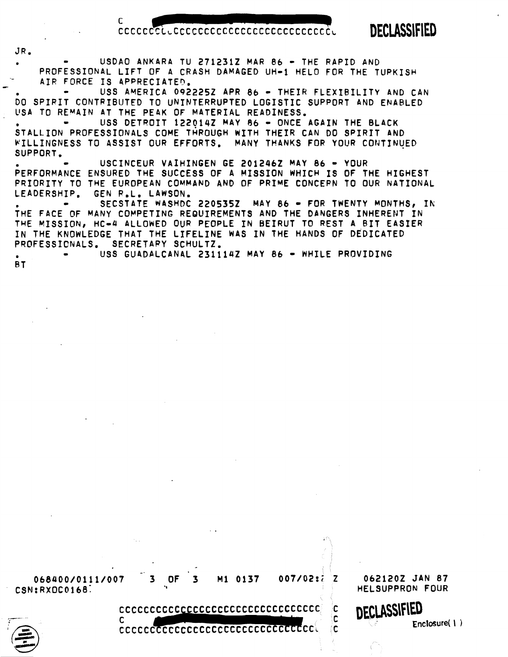CCCCCCCLLCCCCCCCCCCCCCCCCCCCCCCCCCCC

**C CCCCCC~cCCCCCCCCCCCCCccCCCCc~L -7.-** 

DECLASSIFIED

**I,** USDAO ANKARA TU 2712312 MAR 86 - THE RAPID AND PROFESSIONAL LIFT OF A CRASH DAMAGED UH-1 HELO FOR THE TURKISH AIR FORCE IS APPRECIATED.

**JR.** 

USS AMERICA 092225Z APR 86 - THEIR FLEXIBILITY AND CAN **60** SPIRIT CONTRIBUTED TO UNINTERRUPTED LOGISTIC SUPPORT AND ENABLED LISA TO REMAIN AT THE PE4K OF MATERIAL READINESS.

USS DETROIT 122014Z MAY 86 - ONCE AGAIN THE BLACK STALLION PROFESSIONALS COME THROUGH WITH THEIR CAN DO SPIRIT AND WILLINGNESS TO ASSIST OUR EFFORTS. MANY THANKS FOR YOUR CONTINUED SUPPORT.

. - USCINCEUR VAIHINGEN GE **<sup>2012462</sup>**MAY **<sup>86</sup>**- YOUR PERFORMANCE ENSURED THE SUCCESS OF A MISSION WHICH IS OF THE HIGHEST PRIORITY TO THE EUROPEAN COMMAND AND OF PRIME CONCEPN TO OUR NATIONAL LEADERSHIP. GEN R.L. LAWSON.<br>. SECSTATE WASHDC 2205352 MAY 86 <del>-</del> FOR TWENTY MONTHS, IN

THE FACE OF MANY COMPETING REQUIREMENTS AND THE DANGERS INHERENT IN THE MISSION, HC-4 ALLOWED OUR PEOPLE IN BEIRUT TO REST A BIT EASIER IN THE KNOWLEDGE THAT THE LIFELINE WAS IN THE HANDS OF DEDICATED PROFESSICNALS. SECRETAPY SCHULTZ.

USS GUADALCANAL 231114Z MAY 86 - WHILE PROVIDING BT



cccccccccccccccccccccccccccccccccccc

 $\mathbf C$ 

DECLASSIFIED Enclosure $(1)$ 

C

₫C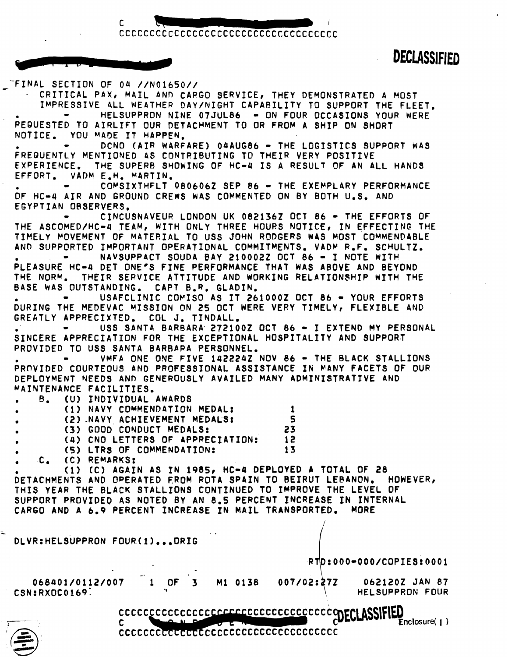codocodocodocodocodocodocodocodoco

**DECLASSIFIED** 

**Enclosure(1)** 

C

-FINAL SECTION OF 04 //N01650//<br>- CRITICAL PAX, MAIL AND CARGO SERVICE, THEY DEMONSTRATED A MOST IMPRESSIVE 4LL WEATHER DAY/NIGHT CAPABILITY TO SUPPORT THE FLEET. - HELSUPPRON NINE 07JUL86 - ON FOUR OCCASIONS YOUR WERE REQUESTED TO AIRLIFT OUR DETACHMENT TO OR FROM A SHIP **ON** SHORT DCNO (AIR WARFARE) 04AUG86 - THE LOGISTICS SUPPORT WAS FREQUENTLY MENTIONED **4s** CONTPIBUTING TO THEIR VERY POSITIVE THE SUPERB SHOWING OF HC-4 IS A RESULT OF AN ALL HANDS EFFORT. VADM E.H. M4RTIN. COMSIXTHFLT 080606Z SEP 86 - THE EXEMPLARY PERFORMANCE OF HC-4 AIR AND GROUND CREWS WAS COMMENTED ON BY BOTH U.S. AND EGYPTIAN OBSERVERS. CINCUSNAVEUR LONDON UK 0821362 OCT 86 - THE EFFORTS OF THE ASCOMED/HC=4 TEAM, WITH ONLY THREE HOURS NOTICE, IN EFFECTING THE WHELY MOVEMENT OF MATERIAL TO USS JOHN RODGERS WAS MOST COMMENDABLY MOVEMENT OF MATERIAL TO USS JOHN RODGERS WAS MOST COMMENDABLY.<br>AND SUPPORTED IMPORTANT OPERATIONAL COMMITMENTS. VADM R.F. SCHULTZ.<br>PLEASURE HC-4 DET ONE'S TIMELY MOVEMENT OF MATERIAL TO USS JOHN RODGERS WAS MOST COMMENDABLE AND SUPPORTED IMPORTANT OPERATIONAL COVMITMENTS. VADP P.F. SCHULTZ. THE NORM. THEIR SERVICE ATTITUDE AND WORKING RELATIONSHIP WITH THE BASE WAS OUTSTANDING, CAP1 B.R. GLADIN. USAFCLINIC COMISO AS IT 261000Z OCT 86 - YOUR EFFORTS DURING THE MEDEVAC MISSION ON 25 OCT WERE VERY TIMELY, FLEXIBLE AND<br>GREATLY APPRECIXTED. COL J. TINDALL.<br>. . . . . . USS SANTA BARBARA 272100Z OCT 86 - I EXTEND MY PERSONAL. GREATLY APPRECIXTED. COL J. TINDALL.<br>. – USS SANTA BARBARA 272100Z OCT 86 – I EXTEND MY PERSONAL SINCERE APPRECIATION FOR THE EXCEPTIONAL HOSPITALITY AND SUPPORT PROVIDED TO USS SANTA B4RRAPA PERSONNEL, **-** VMFA ONE ONE **FlVE** 1422242 NOV 86 - THE BLACK STALLIONS PROVIDED COURTEOUS AND PROFESSIONAL ASSISTANCE IN MANY FACETS OF OUR DEPLOYMENT **NEEDS** AND GENEROUSLY AVAILED MANY ADMINISTRATIVE AND **MAINTENANCE FACILITIES.**<br> **B.** (U) INDIVIDUAL AWARDS • **(1** ) **NAVY** COMMENDATION MEDAL: 1 • **(2)** -NAVY ACHIEVEMENT MEDALS: 5 (3) GOOD CONDUCT MEDALS: 23<br>(4) CNO LETTERS OF APPRECIATION: 12 **(4)** CNO LETTERS OF APPPECIATION: **12 (51** LTRS OF COMMENDATION: 13 . C, **(C)** REMARKS: **(1) CC)** AGAIN AS **IN** 1985, HC-4 DEPLOYED A TOTAL OF 28 DETACHMENTS AND OPERATED FROM ROTA SPAIN TO BEIRUT LEBANON. HOWEVER, THIS YEAR THE BLACK STALLIONS CONTINUED TO IMPROVE THE LEVEL OF SUPPORT PROVIDED AS NOTED BY AN 8.5 PERCENT INCREASE IN INTERNAL CARGO AND A **6-9** PERCENT INCREASE IN MAIL TRANSPORTED. MORE DLVR:HELSUPPRON FOUR(1)...DRIG **RTD:000-000/COPIES:0001** -- 068401/0112/007 1 OF 3 Mi 0138 **<sup>I</sup>** 007/02:27Z 0621202 JAN 87  $\sim$  CSN:RXOC0169. The contract of the contract of the contract of the contract of the contract of the contract of the contract of the contract of the contract of the contract of the contract of the contract of the contrac

cccccccccccccccccccccccccccccccccccc